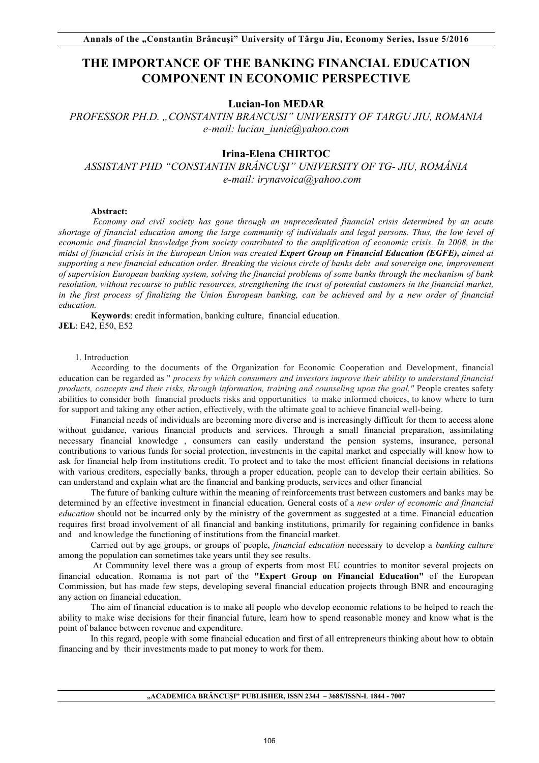# **THE IMPORTANCE OF THE BANKING FINANCIAL EDUCATION COMPONENT IN ECONOMIC PERSPECTIVE**

## **Lucian-Ion MEDAR**

*PROFESSOR PH.D. "CONSTANTIN BRANCUSI" UNIVERSITY OF TARGU JIU, ROMANIA e-mail: lucian\_iunie@yahoo.com* 

## **Irina-Elena CHIRTOC**

*ASSISTANT PHD "CONSTANTIN BRÂNCUŞI" UNIVERSITY OF TG- JIU, ROMÂNIA e-mail: irynavoica@yahoo.com* 

#### **Abstract:**

*Economy and civil society has gone through an unprecedented financial crisis determined by an acute shortage of financial education among the large community of individuals and legal persons. Thus, the low level of*  economic and financial knowledge from society contributed to the amplification of economic crisis. In 2008, in the *midst of financial crisis in the European Union was created Expert Group on Financial Education (EGFE), aimed at supporting a new financial education order. Breaking the vicious circle of banks debt and sovereign one, improvement of supervision European banking system, solving the financial problems of some banks through the mechanism of bank resolution, without recourse to public resources, strengthening the trust of potential customers in the financial market, in the first process of finalizing the Union European banking, can be achieved and by a new order of financial education.*

**Keywords**: credit information, banking culture, financial education. **JEL**: E42, E50, E52

## 1. Introduction

According to the documents of the Organization for Economic Cooperation and Development, financial education can be regarded as " *process by which consumers and investors improve their ability to understand financial products, concepts and their risks, through information, training and counseling upon the goal."* People creates safety abilities to consider both financial products risks and opportunities to make informed choices, to know where to turn for support and taking any other action, effectively, with the ultimate goal to achieve financial well-being.

Financial needs of individuals are becoming more diverse and is increasingly difficult for them to access alone without guidance, various financial products and services. Through a small financial preparation, assimilating necessary financial knowledge , consumers can easily understand the pension systems, insurance, personal contributions to various funds for social protection, investments in the capital market and especially will know how to ask for financial help from institutions credit. To protect and to take the most efficient financial decisions in relations with various creditors, especially banks, through a proper education, people can to develop their certain abilities. So can understand and explain what are the financial and banking products, services and other financial

The future of banking culture within the meaning of reinforcements trust between customers and banks may be determined by an effective investment in financial education. General costs of a *new order of economic and financial education* should not be incurred only by the ministry of the government as suggested at a time. Financial education requires first broad involvement of all financial and banking institutions, primarily for regaining confidence in banks and and knowledge the functioning of institutions from the financial market.

Carried out by age groups, or groups of people, *financial education* necessary to develop a *banking culture* among the population can sometimes take years until they see results.

At Community level there was a group of experts from most EU countries to monitor several projects on financial education. Romania is not part of the **"Expert Group on Financial Education"** of the European Commission, but has made few steps, developing several financial education projects through BNR and encouraging any action on financial education.

The aim of financial education is to make all people who develop economic relations to be helped to reach the ability to make wise decisions for their financial future, learn how to spend reasonable money and know what is the point of balance between revenue and expenditure.

In this regard, people with some financial education and first of all entrepreneurs thinking about how to obtain financing and by their investments made to put money to work for them.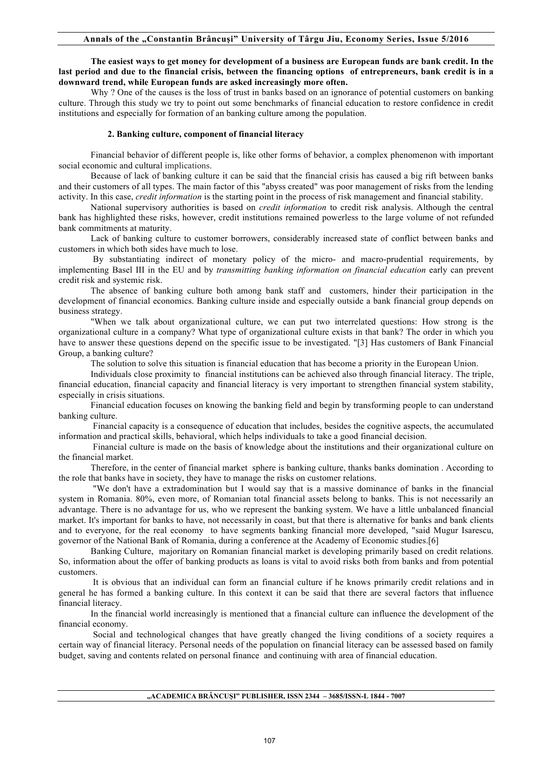### **The easiest ways to get money for development of a business are European funds are bank credit. In the last period and due to the financial crisis, between the financing options of entrepreneurs, bank credit is in a downward trend, while European funds are asked increasingly more often.**

Why ? One of the causes is the loss of trust in banks based on an ignorance of potential customers on banking culture. Through this study we try to point out some benchmarks of financial education to restore confidence in credit institutions and especially for formation of an banking culture among the population.

#### **2. Banking culture, component of financial literacy**

 Financial behavior of different people is, like other forms of behavior, a complex phenomenon with important social economic and cultural implications.

 Because of lack of banking culture it can be said that the financial crisis has caused a big rift between banks and their customers of all types. The main factor of this "abyss created" was poor management of risks from the lending activity. In this case, *credit information* is the starting point in the process of risk management and financial stability.

National supervisory authorities is based on *credit information* to credit risk analysis. Although the central bank has highlighted these risks, however, credit institutions remained powerless to the large volume of not refunded bank commitments at maturity.

Lack of banking culture to customer borrowers, considerably increased state of conflict between banks and customers in which both sides have much to lose.

By substantiating indirect of monetary policy of the micro- and macro-prudential requirements, by implementing Basel III in the EU and by *transmitting banking information on financial education* early can prevent credit risk and systemic risk.

The absence of banking culture both among bank staff and customers, hinder their participation in the development of financial economics. Banking culture inside and especially outside a bank financial group depends on business strategy.

"When we talk about organizational culture, we can put two interrelated questions: How strong is the organizational culture in a company? What type of organizational culture exists in that bank? The order in which you have to answer these questions depend on the specific issue to be investigated. "[3] Has customers of Bank Financial Group, a banking culture?

The solution to solve this situation is financial education that has become a priority in the European Union.

Individuals close proximity to financial institutions can be achieved also through financial literacy. The triple, financial education, financial capacity and financial literacy is very important to strengthen financial system stability, especially in crisis situations.

Financial education focuses on knowing the banking field and begin by transforming people to can understand banking culture.

Financial capacity is a consequence of education that includes, besides the cognitive aspects, the accumulated information and practical skills, behavioral, which helps individuals to take a good financial decision.

Financial culture is made on the basis of knowledge about the institutions and their organizational culture on the financial market.

Therefore, in the center of financial market sphere is banking culture, thanks banks domination . According to the role that banks have in society, they have to manage the risks on customer relations.

"We don't have a extradomination but I would say that is a massive dominance of banks in the financial system in Romania. 80%, even more, of Romanian total financial assets belong to banks. This is not necessarily an advantage. There is no advantage for us, who we represent the banking system. We have a little unbalanced financial market. It's important for banks to have, not necessarily in coast, but that there is alternative for banks and bank clients and to everyone, for the real economy to have segments banking financial more developed, "said Mugur Isarescu, governor of the National Bank of Romania, during a conference at the Academy of Economic studies.[6]

Banking Culture, majoritary on Romanian financial market is developing primarily based on credit relations. So, information about the offer of banking products as loans is vital to avoid risks both from banks and from potential customers.

It is obvious that an individual can form an financial culture if he knows primarily credit relations and in general he has formed a banking culture. In this context it can be said that there are several factors that influence financial literacy.

In the financial world increasingly is mentioned that a financial culture can influence the development of the financial economy.

Social and technological changes that have greatly changed the living conditions of a society requires a certain way of financial literacy. Personal needs of the population on financial literacy can be assessed based on family budget, saving and contents related on personal finance and continuing with area of financial education.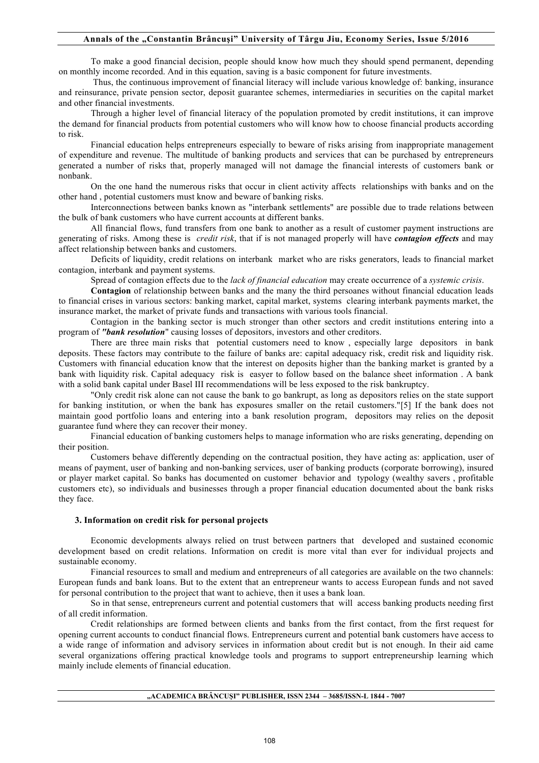## **Annals of the "Constantin Brâncuşi" University of Târgu Jiu, Economy Series, Issue 5/2016**

To make a good financial decision, people should know how much they should spend permanent, depending on monthly income recorded. And in this equation, saving is a basic component for future investments.

Thus, the continuous improvement of financial literacy will include various knowledge of: banking, insurance and reinsurance, private pension sector, deposit guarantee schemes, intermediaries in securities on the capital market and other financial investments.

Through a higher level of financial literacy of the population promoted by credit institutions, it can improve the demand for financial products from potential customers who will know how to choose financial products according to risk.

Financial education helps entrepreneurs especially to beware of risks arising from inappropriate management of expenditure and revenue. The multitude of banking products and services that can be purchased by entrepreneurs generated a number of risks that, properly managed will not damage the financial interests of customers bank or nonbank.

On the one hand the numerous risks that occur in client activity affects relationships with banks and on the other hand , potential customers must know and beware of banking risks.

Interconnections between banks known as "interbank settlements" are possible due to trade relations between the bulk of bank customers who have current accounts at different banks.

All financial flows, fund transfers from one bank to another as a result of customer payment instructions are generating of risks. Among these is *credit risk*, that if is not managed properly will have *contagion effects* and may affect relationship between banks and customers.

Deficits of liquidity, credit relations on interbank market who are risks generators, leads to financial market contagion, interbank and payment systems.

Spread of contagion effects due to the *lack of financial education* may create occurrence of a *systemic crisis*.

**Contagion** of relationship between banks and the many the third persoanes without financial education leads to financial crises in various sectors: banking market, capital market, systems clearing interbank payments market, the insurance market, the market of private funds and transactions with various tools financial.

Contagion in the banking sector is much stronger than other sectors and credit institutions entering into a program of *"bank resolution*" causing losses of depositors, investors and other creditors.

There are three main risks that potential customers need to know , especially large depositors in bank deposits. These factors may contribute to the failure of banks are: capital adequacy risk, credit risk and liquidity risk. Customers with financial education know that the interest on deposits higher than the banking market is granted by a bank with liquidity risk. Capital adequacy risk is easyer to follow based on the balance sheet information . A bank with a solid bank capital under Basel III recommendations will be less exposed to the risk bankruptcy.

"Only credit risk alone can not cause the bank to go bankrupt, as long as depositors relies on the state support for banking institution, or when the bank has exposures smaller on the retail customers."[5] If the bank does not maintain good portfolio loans and entering into a bank resolution program, depositors may relies on the deposit guarantee fund where they can recover their money.

Financial education of banking customers helps to manage information who are risks generating, depending on their position.

Customers behave differently depending on the contractual position, they have acting as: application, user of means of payment, user of banking and non-banking services, user of banking products (corporate borrowing), insured or player market capital. So banks has documented on customer behavior and typology (wealthy savers , profitable customers etc), so individuals and businesses through a proper financial education documented about the bank risks they face.

#### **3. Information on credit risk for personal projects**

Economic developments always relied on trust between partners that developed and sustained economic development based on credit relations. Information on credit is more vital than ever for individual projects and sustainable economy.

Financial resources to small and medium and entrepreneurs of all categories are available on the two channels: European funds and bank loans. But to the extent that an entrepreneur wants to access European funds and not saved for personal contribution to the project that want to achieve, then it uses a bank loan.

So in that sense, entrepreneurs current and potential customers that will access banking products needing first of all credit information.

Credit relationships are formed between clients and banks from the first contact, from the first request for opening current accounts to conduct financial flows. Entrepreneurs current and potential bank customers have access to a wide range of information and advisory services in information about credit but is not enough. In their aid came several organizations offering practical knowledge tools and programs to support entrepreneurship learning which mainly include elements of financial education.

#### **"ACADEMICA BRÂNCUŞI" PUBLISHER, ISSN 2344 – 3685/ISSN-L 1844 - 7007**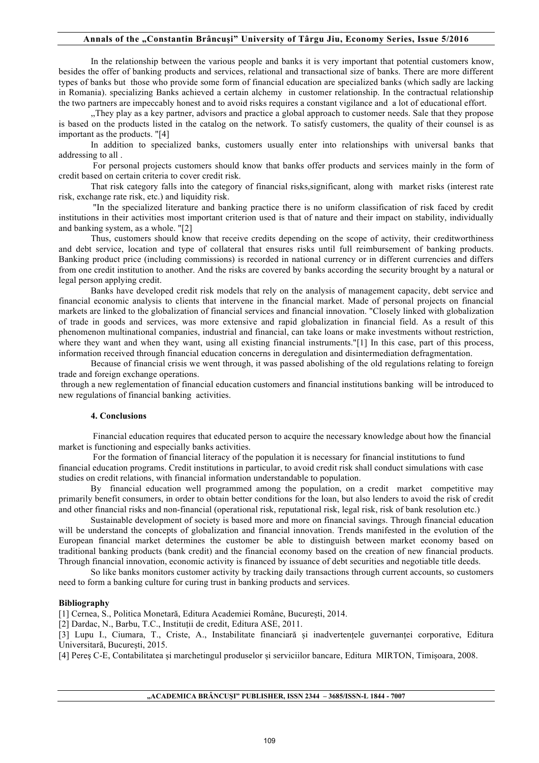### **Annals of the "Constantin Brâncuşi" University of Târgu Jiu, Economy Series, Issue 5/2016**

In the relationship between the various people and banks it is very important that potential customers know, besides the offer of banking products and services, relational and transactional size of banks. There are more different types of banks but those who provide some form of financial education are specialized banks (which sadly are lacking in Romania). specializing Banks achieved a certain alchemy in customer relationship. In the contractual relationship the two partners are impeccably honest and to avoid risks requires a constant vigilance and a lot of educational effort.

,,They play as a key partner, advisors and practice a global approach to customer needs. Sale that they propose is based on the products listed in the catalog on the network. To satisfy customers, the quality of their counsel is as important as the products. "[4]

In addition to specialized banks, customers usually enter into relationships with universal banks that addressing to all .

For personal projects customers should know that banks offer products and services mainly in the form of credit based on certain criteria to cover credit risk.

That risk category falls into the category of financial risks,significant, along with market risks (interest rate risk, exchange rate risk, etc.) and liquidity risk.

"In the specialized literature and banking practice there is no uniform classification of risk faced by credit institutions in their activities most important criterion used is that of nature and their impact on stability, individually and banking system, as a whole. "[2]

Thus, customers should know that receive credits depending on the scope of activity, their creditworthiness and debt service, location and type of collateral that ensures risks until full reimbursement of banking products. Banking product price (including commissions) is recorded in national currency or in different currencies and differs from one credit institution to another. And the risks are covered by banks according the security brought by a natural or legal person applying credit.

Banks have developed credit risk models that rely on the analysis of management capacity, debt service and financial economic analysis to clients that intervene in the financial market. Made of personal projects on financial markets are linked to the globalization of financial services and financial innovation. "Closely linked with globalization of trade in goods and services, was more extensive and rapid globalization in financial field. As a result of this phenomenon multinational companies, industrial and financial, can take loans or make investments without restriction, where they want and when they want, using all existing financial instruments."[1] In this case, part of this process, information received through financial education concerns in deregulation and disintermediation defragmentation.

Because of financial crisis we went through, it was passed abolishing of the old regulations relating to foreign trade and foreign exchange operations.

through a new reglementation of financial education customers and financial institutions banking will be introduced to new regulations of financial banking activities.

## **4. Conclusions**

Financial education requires that educated person to acquire the necessary knowledge about how the financial market is functioning and especially banks activities.

For the formation of financial literacy of the population it is necessary for financial institutions to fund financial education programs. Credit institutions in particular, to avoid credit risk shall conduct simulations with case studies on credit relations, with financial information understandable to population.

By financial education well programmed among the population, on a credit market competitive may primarily benefit consumers, in order to obtain better conditions for the loan, but also lenders to avoid the risk of credit and other financial risks and non-financial (operational risk, reputational risk, legal risk, risk of bank resolution etc.)

Sustainable development of society is based more and more on financial savings. Through financial education will be understand the concepts of globalization and financial innovation. Trends manifested in the evolution of the European financial market determines the customer be able to distinguish between market economy based on traditional banking products (bank credit) and the financial economy based on the creation of new financial products. Through financial innovation, economic activity is financed by issuance of debt securities and negotiable title deeds.

So like banks monitors customer activity by tracking daily transactions through current accounts, so customers need to form a banking culture for curing trust in banking products and services.

#### **Bibliography**

[1] Cernea, S., Politica Monetară, Editura Academiei Române, București, 2014.

[2] Dardac, N., Barbu, T.C., Instituții de credit, Editura ASE, 2011.

[3] Lupu I., Ciumara, T., Criste, A., Instabilitate financiară și inadvertențele guvernanței corporative, Editura Universitară, București, 2015.

[4] Pereș C-E, Contabilitatea și marchetingul produselor și serviciilor bancare, Editura MIRTON, Timișoara, 2008.